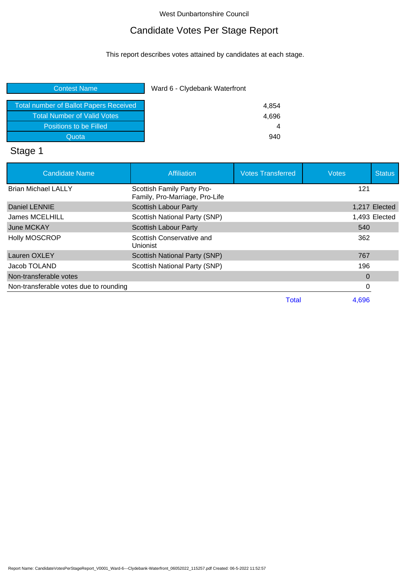# Candidate Votes Per Stage Report

This report describes votes attained by candidates at each stage.

| Ward 6 - Clydebank Waterfront |  |
|-------------------------------|--|
| 4,854                         |  |
| 4,696                         |  |
| 4                             |  |
| 940                           |  |
|                               |  |

# Stage 1

| <b>Candidate Name</b>                  | <b>Affiliation</b>                                           | <b>Votes Transferred</b> | <b>Votes</b> | <b>Status</b> |
|----------------------------------------|--------------------------------------------------------------|--------------------------|--------------|---------------|
| <b>Brian Michael LALLY</b>             | Scottish Family Party Pro-<br>Family, Pro-Marriage, Pro-Life |                          | 121          |               |
| Daniel LENNIE                          | <b>Scottish Labour Party</b>                                 |                          |              | 1,217 Elected |
| James MCELHILL                         | Scottish National Party (SNP)                                |                          |              | 1,493 Elected |
| June MCKAY                             | <b>Scottish Labour Party</b>                                 |                          | 540          |               |
| <b>Holly MOSCROP</b>                   | Scottish Conservative and<br>Unionist                        |                          | 362          |               |
| Lauren OXLEY                           | <b>Scottish National Party (SNP)</b>                         |                          | 767          |               |
| Jacob TOLAND                           | Scottish National Party (SNP)                                |                          | 196          |               |
| Non-transferable votes                 |                                                              |                          | $\Omega$     |               |
| Non-transferable votes due to rounding |                                                              |                          | 0            |               |
|                                        |                                                              | Total                    | 4.696        |               |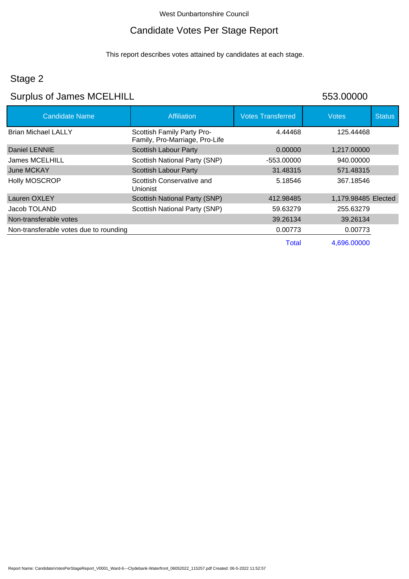## Candidate Votes Per Stage Report

This report describes votes attained by candidates at each stage.

## Stage 2

# Surplus of James MCELHILL 653.00000

| <b>Candidate Name</b>                  | <b>Affiliation</b>                                           | <b>Votes Transferred</b> | <b>Votes</b>        | <b>Status</b> |
|----------------------------------------|--------------------------------------------------------------|--------------------------|---------------------|---------------|
| <b>Brian Michael LALLY</b>             | Scottish Family Party Pro-<br>Family, Pro-Marriage, Pro-Life | 4.44468                  | 125.44468           |               |
| Daniel LENNIE                          | Scottish Labour Party                                        | 0.00000                  | 1,217.00000         |               |
| James MCELHILL                         | Scottish National Party (SNP)                                | $-553.00000$             | 940.00000           |               |
| June MCKAY                             | Scottish Labour Party                                        | 31.48315                 | 571.48315           |               |
| <b>Holly MOSCROP</b>                   | Scottish Conservative and<br>Unionist                        | 5.18546                  | 367.18546           |               |
| Lauren OXLEY                           | <b>Scottish National Party (SNP)</b>                         | 412.98485                | 1,179.98485 Elected |               |
| Jacob TOLAND                           | Scottish National Party (SNP)                                | 59.63279                 | 255.63279           |               |
| Non-transferable votes                 |                                                              | 39.26134                 | 39.26134            |               |
| Non-transferable votes due to rounding |                                                              | 0.00773                  | 0.00773             |               |
|                                        |                                                              | Total                    | 4,696.00000         |               |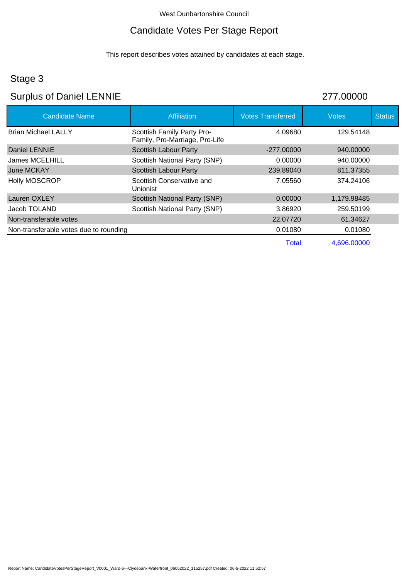# Candidate Votes Per Stage Report

This report describes votes attained by candidates at each stage.

## Stage 3

# Surplus of Daniel LENNIE 277.00000

| <b>Candidate Name</b>                  | Affiliation                                                  | <b>Votes Transferred</b> | <b>Votes</b> | <b>Status</b> |
|----------------------------------------|--------------------------------------------------------------|--------------------------|--------------|---------------|
| <b>Brian Michael LALLY</b>             | Scottish Family Party Pro-<br>Family, Pro-Marriage, Pro-Life | 4.09680                  | 129.54148    |               |
| Daniel LENNIE                          | <b>Scottish Labour Party</b>                                 | $-277.00000$             | 940,00000    |               |
| James MCELHILL                         | Scottish National Party (SNP)                                | 0.00000                  | 940.00000    |               |
| June MCKAY                             | <b>Scottish Labour Party</b>                                 | 239.89040                | 811.37355    |               |
| <b>Holly MOSCROP</b>                   | Scottish Conservative and<br>Unionist                        | 7.05560                  | 374.24106    |               |
| Lauren OXLEY                           | <b>Scottish National Party (SNP)</b>                         | 0.00000                  | 1,179.98485  |               |
| Jacob TOLAND                           | Scottish National Party (SNP)                                | 3.86920                  | 259.50199    |               |
| Non-transferable votes                 |                                                              | 22.07720                 | 61.34627     |               |
| Non-transferable votes due to rounding |                                                              | 0.01080                  | 0.01080      |               |
|                                        |                                                              | <b>Total</b>             | 4.696.00000  |               |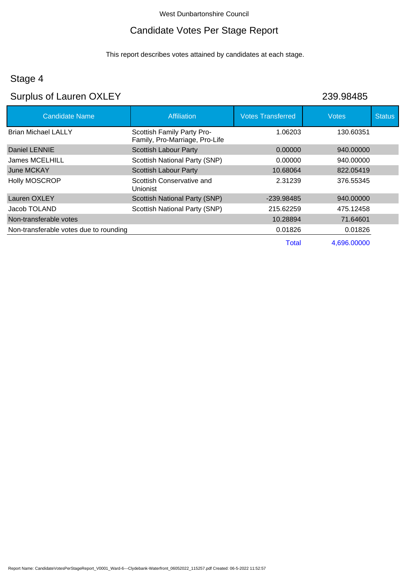# Candidate Votes Per Stage Report

This report describes votes attained by candidates at each stage.

## Stage 4

# Surplus of Lauren OXLEY 239.98485

| <b>Candidate Name</b>                  | <b>Affiliation</b>                                           | <b>Votes Transferred</b> | <b>Votes</b> | <b>Status</b> |
|----------------------------------------|--------------------------------------------------------------|--------------------------|--------------|---------------|
| <b>Brian Michael LALLY</b>             | Scottish Family Party Pro-<br>Family, Pro-Marriage, Pro-Life | 1.06203                  | 130.60351    |               |
| Daniel LENNIE                          | <b>Scottish Labour Party</b>                                 | 0.00000                  | 940,00000    |               |
| <b>James MCELHILL</b>                  | Scottish National Party (SNP)                                | 0.00000                  | 940.00000    |               |
| June MCKAY                             | <b>Scottish Labour Party</b>                                 | 10.68064                 | 822.05419    |               |
| <b>Holly MOSCROP</b>                   | Scottish Conservative and<br>Unionist                        | 2.31239                  | 376.55345    |               |
| Lauren OXLEY                           | Scottish National Party (SNP)                                | -239.98485               | 940,00000    |               |
| Jacob TOLAND                           | Scottish National Party (SNP)                                | 215.62259                | 475.12458    |               |
| Non-transferable votes                 |                                                              | 10.28894                 | 71.64601     |               |
| Non-transferable votes due to rounding |                                                              | 0.01826                  | 0.01826      |               |
|                                        |                                                              | <b>Total</b>             | 4,696.00000  |               |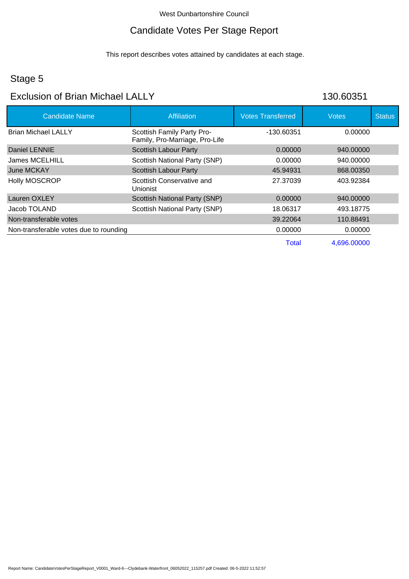#### Candidate Votes Per Stage Report

This report describes votes attained by candidates at each stage.

#### Stage 5

### Exclusion of Brian Michael LALLY 130.60351

Candidate Name **Affiliation** Affiliation **Votes Transferred** Votes Votes Status Brian Michael LALLY Daniel LENNIE James MCELHILL June MCKAY Holly MOSCROP Lauren OXLEY Jacob TOLAND Scottish Family Party Pro-Family, Pro-Marriage, Pro-Life Scottish Labour Party Scottish National Party (SNP) Scottish Labour Party Scottish Conservative and Unionist Scottish National Party (SNP) Scottish National Party (SNP) -130.60351 0.00000 0.00000 45.94931 27.37039 0.00000 18.06317 0.00000 940.00000 940.00000 868.00350 403.92384 940.00000 493.18775 Non-transferable votes 39.22064 110.88491 Non-transferable votes due to rounding 0.00000 0.00000 0.00000 0.00000 0.00000 Total 4,696.00000